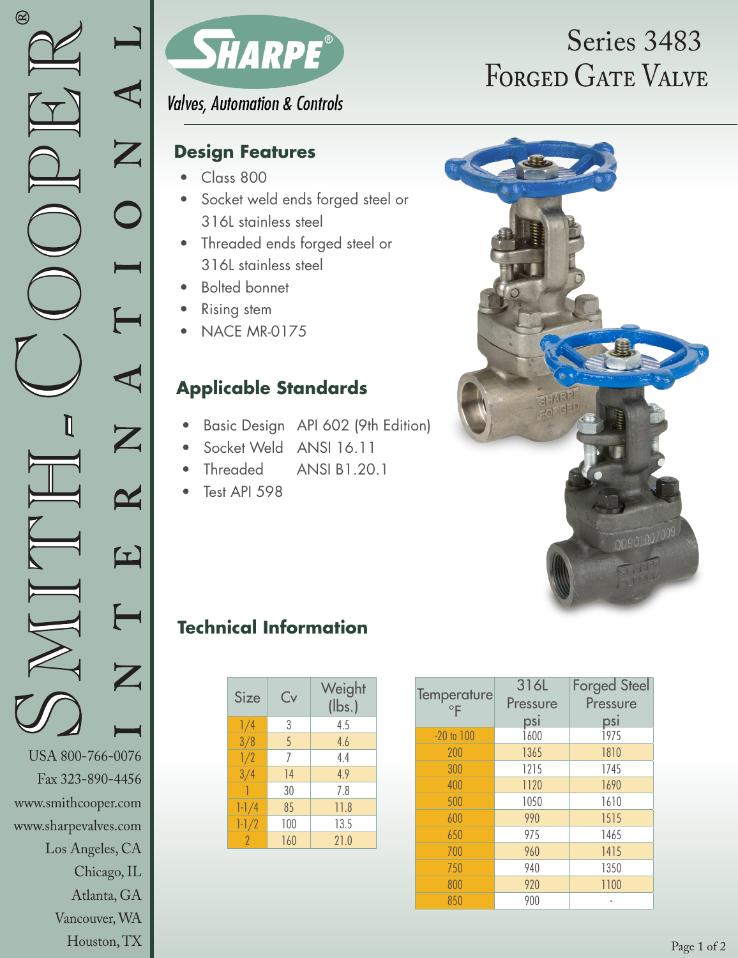Vancouver, WA Houston, TX



**Valves, Automation & Controls** 

## **Design Features**

- Class 800
- Socket weld ends forged steel or 316L stainless steel
- Threaded ends forged steel or 316L stainless steel
- Bolted bonnet
- **Rising stem**
- NACE MR-0175

# **Applicable Standards**

- Basic Design API 602 (9th Edition)
- Socket Weld ANSI 16.11
- Threaded ANSI B1.20.1
- Test API 598

# FORGED GATE VALVE Series 3483



# **Technical Information**

| Size      | Cv  | Weight<br>$(\mathsf{lbs.})$ |
|-----------|-----|-----------------------------|
| 1/4       | 3   | 4.5                         |
| 3/8       | 5   | 4.6                         |
| 1/2       | 7   | 4.4                         |
| 3/4       | 14  | 4.9                         |
|           | 30  | 7.8                         |
| $1 - 1/4$ | 85  | 11.8                        |
| $1 - 1/2$ | 100 | 13.5                        |
| 2         | 160 | 21.0                        |

| Temperature<br>$\circ$ F | 316L<br>Pressure | <b>Forged Steel</b><br>Pressure |  |  |
|--------------------------|------------------|---------------------------------|--|--|
|                          | <u>psi</u>       | <u>psi</u>                      |  |  |
| $-20$ to $100$           | 1600             | 1975                            |  |  |
| 200                      | 1365             | 1810                            |  |  |
| 300                      | 1215             | 1745                            |  |  |
| 400                      | 1120             | 1690                            |  |  |
| 500                      | 1050<br>1610     |                                 |  |  |
| 600                      | 990              | 1515                            |  |  |
| 650                      | 975              | 1465                            |  |  |
| 700                      | 960              | 1415                            |  |  |
| 750                      | 940              | 1350                            |  |  |
| 800                      | 920              | 1100                            |  |  |
| 850                      | 900              |                                 |  |  |